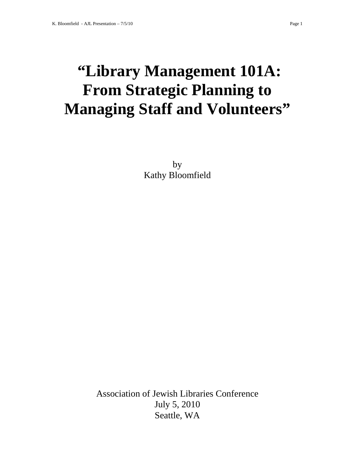# **"Library Management 101A: From Strategic Planning to Managing Staff and Volunteers"**

by Kathy Bloomfield

Association of Jewish Libraries Conference July 5, 2010 Seattle, WA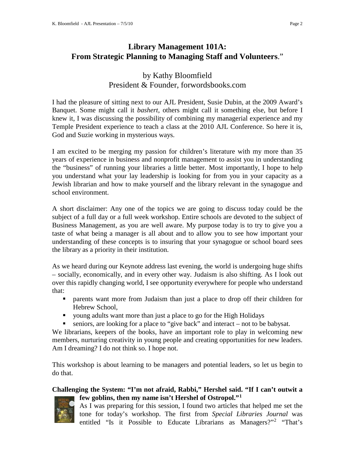# **Library Management 101A: From Strategic Planning to Managing Staff and Volunteers**."

## by Kathy Bloomfield President & Founder, forwordsbooks.com

I had the pleasure of sitting next to our AJL President, Susie Dubin, at the 2009 Award's Banquet. Some might call it *bashert*, others might call it something else, but before I knew it, I was discussing the possibility of combining my managerial experience and my Temple President experience to teach a class at the 2010 AJL Conference. So here it is, God and Suzie working in mysterious ways.

I am excited to be merging my passion for children's literature with my more than 35 years of experience in business and nonprofit management to assist you in understanding the "business" of running your libraries a little better. Most importantly, I hope to help you understand what your lay leadership is looking for from you in your capacity as a Jewish librarian and how to make yourself and the library relevant in the synagogue and school environment.

A short disclaimer: Any one of the topics we are going to discuss today could be the subject of a full day or a full week workshop. Entire schools are devoted to the subject of Business Management, as you are well aware. My purpose today is to try to give you a taste of what being a manager is all about and to allow you to see how important your understanding of these concepts is to insuring that your synagogue or school board sees the library as a priority in their institution.

As we heard during our Keynote address last evening, the world is undergoing huge shifts – socially, economically, and in every other way. Judaism is also shifting. As I look out over this rapidly changing world, I see opportunity everywhere for people who understand that:

- parents want more from Judaism than just a place to drop off their children for Hebrew School,
- young adults want more than just a place to go for the High Holidays
- seniors, are looking for a place to "give back" and interact not to be babysat.

We librarians, keepers of the books, have an important role to play in welcoming new members, nurturing creativity in young people and creating opportunities for new leaders. Am I dreaming? I do not think so. I hope not.

This workshop is about learning to be managers and potential leaders, so let us begin to do that.

## **Challenging the System: "I'm not afraid, Rabbi," Hershel said. "If I can't outwit a few goblins, then my name isn't Hershel of Ostropol."[1](#page-13-0)**



As I was preparing for this session, I found two articles that helped me set the tone for today's workshop. The first from *Special Libraries Journal* was entitled "Is it Possible to Educate Librarians as Managers?"[2](#page-13-1) "That's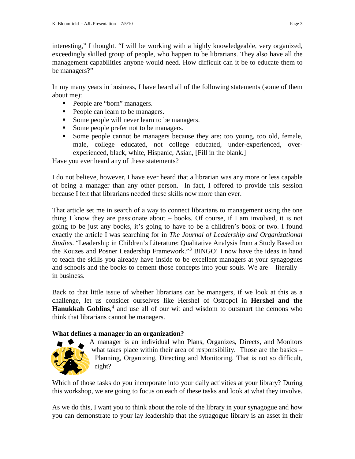interesting," I thought. "I will be working with a highly knowledgeable, very organized, exceedingly skilled group of people, who happen to be librarians. They also have all the management capabilities anyone would need. How difficult can it be to educate them to be managers?"

In my many years in business, I have heard all of the following statements (some of them about me):

- People are "born" managers.
- People can learn to be managers.
- Some people will never learn to be managers.
- Some people prefer not to be managers.
- Some people cannot be managers because they are: too young, too old, female, male, college educated, not college educated, under-experienced, overexperienced, black, white, Hispanic, Asian, [Fill in the blank.]

Have you ever heard any of these statements?

I do not believe, however, I have ever heard that a librarian was any more or less capable of being a manager than any other person. In fact, I offered to provide this session because I felt that librarians needed these skills now more than ever.

That article set me in search of a way to connect librarians to management using the one thing I know they are passionate about – books. Of course, if I am involved, it is not going to be just any books, it's going to have to be a children's book or two. I found exactly the article I was searching for in *The Journal of Leadership and Organizational Studies*. "Leadership in Children's Literature: Qualitative Analysis from a Study Based on the Kouzes and Posner Leadership Framework."[3](#page-13-2) BINGO! I now have the ideas in hand to teach the skills you already have inside to be excellent managers at your synagogues and schools and the books to cement those concepts into your souls. We are – literally – in business.

Back to that little issue of whether librarians can be managers, if we look at this as a challenge, let us consider ourselves like Hershel of Ostropol in **Hershel and the Hanukkah Goblins**, [4](#page-13-3) and use all of our wit and wisdom to outsmart the demons who think that librarians cannot be managers.

## **What defines a manager in an organization?**



A manager is an individual who Plans, Organizes, Directs, and Monitors what takes place within their area of responsibility. Those are the basics – Planning, Organizing, Directing and Monitoring. That is not so difficult, right?

Which of those tasks do you incorporate into your daily activities at your library? During this workshop, we are going to focus on each of these tasks and look at what they involve.

As we do this, I want you to think about the role of the library in your synagogue and how you can demonstrate to your lay leadership that the synagogue library is an asset in their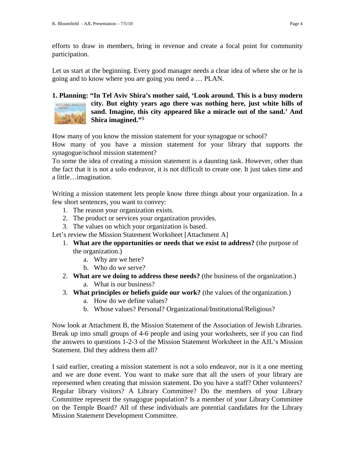efforts to draw in members, bring in revenue and create a focal point for community participation.

Let us start at the beginning. Every good manager needs a clear idea of where she or he is going and to know where you are going you need a … PLAN.

#### **1. Planning: "In Tel Aviv Shira's mother said, 'Look around. This is a busy modern CONSTRAINMONED CITY. But eighty years ago there was nothing here, just white hills of sand. Imagine, this city appeared like a miracle out of the sand.' And**  ALL VAN **Shira imagined."[5](#page-13-4)**

How many of you know the mission statement for your synagogue or school?

How many of you have a mission statement for your library that supports the synagogue/school mission statement?

To some the idea of creating a mission statement is a daunting task. However, other than the fact that it is not a solo endeavor, it is not difficult to create one. It just takes time and a little…imagination.

Writing a mission statement lets people know three things about your organization. In a few short sentences, you want to convey:

- 1. The reason your organization exists.
- 2. The product or services your organization provides.
- 3. The values on which your organization is based.

Let's review the Mission Statement Worksheet [Attachment A]

- 1. **What are the opportunities or needs that we exist to address?** (the purpose of the organization.)
	- a. Why are we here?
	- b. Who do we serve?
- 2. **What are we doing to address these needs?** (the business of the organization.) a. What is our business?
- 3. **What principles or beliefs guide our work?** (the values of the organization.)
	- a. How do we define values?
	- b. Whose values? Personal? Organizational/Institutional/Religious?

Now look at Attachment B, the Mission Statement of the Association of Jewish Libraries. Break up into small groups of 4-6 people and using your worksheets, see if you can find the answers to questions 1-2-3 of the Mission Statement Worksheet in the AJL's Mission Statement. Did they address them all?

I said earlier, creating a mission statement is not a solo endeavor, nor is it a one meeting and we are done event. You want to make sure that all the users of your library are represented when creating that mission statement. Do you have a staff? Other volunteers? Regular library visitors? A Library Committee? Do the members of your Library Committee represent the synagogue population? Is a member of your Library Committee on the Temple Board? All of these individuals are potential candidates for the Library Mission Statement Development Committee.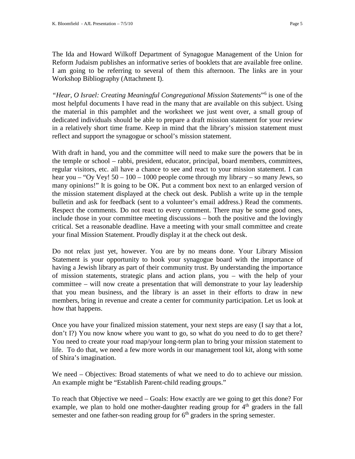The Ida and Howard Wilkoff Department of Synagogue Management of the Union for Reform Judaism publishes an informative series of booklets that are available free online. I am going to be referring to several of them this afternoon. The links are in your Workshop Bibliography (Attachment I).

*"Hear, O Israel: Creating Meaningful Congregational Mission Statements*"[6](#page-13-5) is one of the most helpful documents I have read in the many that are available on this subject. Using the material in this pamphlet and the worksheet we just went over, a small group of dedicated individuals should be able to prepare a draft mission statement for your review in a relatively short time frame. Keep in mind that the library's mission statement must reflect and support the synagogue or school's mission statement.

With draft in hand, you and the committee will need to make sure the powers that be in the temple or school – rabbi, president, educator, principal, board members, committees, regular visitors, etc. all have a chance to see and react to your mission statement. I can hear you – "Oy Vey!  $50 - 100 - 1000$  people come through my library – so many Jews, so many opinions!" It is going to be OK. Put a comment box next to an enlarged version of the mission statement displayed at the check out desk. Publish a write up in the temple bulletin and ask for feedback (sent to a volunteer's email address.) Read the comments. Respect the comments. Do not react to every comment. There may be some good ones, include those in your committee meeting discussions – both the positive and the lovingly critical. Set a reasonable deadline. Have a meeting with your small committee and create your final Mission Statement. Proudly display it at the check out desk.

Do not relax just yet, however. You are by no means done. Your Library Mission Statement is your opportunity to hook your synagogue board with the importance of having a Jewish library as part of their community trust. By understanding the importance of mission statements, strategic plans and action plans, you – with the help of your committee – will now create a presentation that will demonstrate to your lay leadership that you mean business, and the library is an asset in their efforts to draw in new members, bring in revenue and create a center for community participation. Let us look at how that happens.

Once you have your finalized mission statement, your next steps are easy (I say that a lot, don't I?) You now know where you want to go, so what do you need to do to get there? You need to create your road map/your long-term plan to bring your mission statement to life. To do that, we need a few more words in our management tool kit, along with some of Shira's imagination.

We need – Objectives: Broad statements of what we need to do to achieve our mission. An example might be "Establish Parent-child reading groups."

To reach that Objective we need – Goals: How exactly are we going to get this done? For example, we plan to hold one mother-daughter reading group for 4<sup>th</sup> graders in the fall semester and one father-son reading group for  $6<sup>th</sup>$  graders in the spring semester.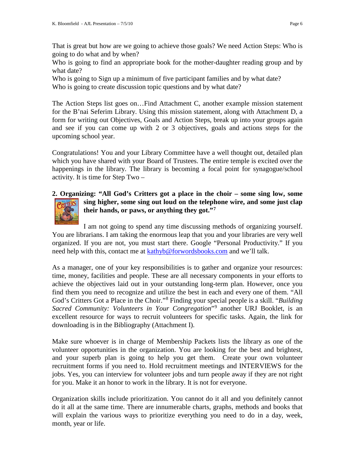That is great but how are we going to achieve those goals? We need Action Steps: Who is going to do what and by when?

Who is going to find an appropriate book for the mother-daughter reading group and by what date?

Who is going to Sign up a minimum of five participant families and by what date? Who is going to create discussion topic questions and by what date?

The Action Steps list goes on…Find Attachment C, another example mission statement for the B'nai Seferim Library. Using this mission statement, along with Attachment D, a form for writing out Objectives, Goals and Action Steps, break up into your groups again and see if you can come up with 2 or 3 objectives, goals and actions steps for the upcoming school year.

Congratulations! You and your Library Committee have a well thought out, detailed plan which you have shared with your Board of Trustees. The entire temple is excited over the happenings in the library. The library is becoming a focal point for synagogue/school activity. It is time for Step Two –

#### **2. Organizing: "All God's Critters got a place in the choir – some sing low, some sing higher, some sing out loud on the telephone wire, and some just clap**  mTERS **their hands, or paws, or anything they got."[7](#page-13-6)**

I am not going to spend any time discussing methods of organizing yourself. You are librarians. I am taking the enormous leap that you and your libraries are very well organized. If you are not, you must start there. Google "Personal Productivity." If you need help with this, contact me at [kathyb@forwordsbooks.com](mailto:kathyb@forwordsbooks.com) and we'll talk.

As a manager, one of your key responsibilities is to gather and organize your resources: time, money, facilities and people. These are all necessary components in your efforts to achieve the objectives laid out in your outstanding long-term plan. However, once you find them you need to recognize and utilize the best in each and every one of them. "All God's Critters Got a Place in the Choir."[8](#page-13-7) Finding your special people is a skill. "*Building Sacred Community: Volunteers in Your Congregation*"[9](#page-13-8) another URJ Booklet, is an excellent resource for ways to recruit volunteers for specific tasks. Again, the link for downloading is in the Bibliography (Attachment I).

Make sure whoever is in charge of Membership Packets lists the library as one of the volunteer opportunities in the organization. You are looking for the best and brightest, and your superb plan is going to help you get them. Create your own volunteer recruitment forms if you need to. Hold recruitment meetings and INTERVIEWS for the jobs. Yes, you can interview for volunteer jobs and turn people away if they are not right for you. Make it an honor to work in the library. It is not for everyone.

Organization skills include prioritization. You cannot do it all and you definitely cannot do it all at the same time. There are innumerable charts, graphs, methods and books that will explain the various ways to prioritize everything you need to do in a day, week, month, year or life.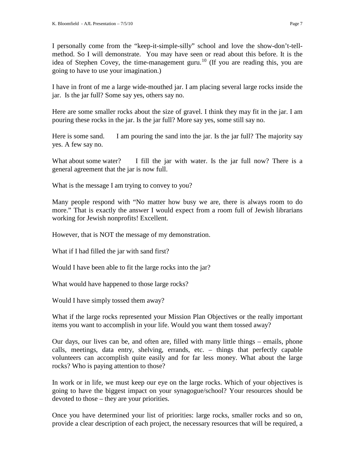I personally come from the "keep-it-simple-silly" school and love the show-don't-tellmethod. So I will demonstrate. You may have seen or read about this before. It is the idea of Stephen Covey, the time-management guru.<sup>[10](#page-13-9)</sup> (If you are reading this, you are going to have to use your imagination.)

I have in front of me a large wide-mouthed jar. I am placing several large rocks inside the jar. Is the jar full? Some say yes, others say no.

Here are some smaller rocks about the size of gravel. I think they may fit in the jar. I am pouring these rocks in the jar. Is the jar full? More say yes, some still say no.

Here is some sand. I am pouring the sand into the jar. Is the jar full? The majority say yes. A few say no.

What about some water? I fill the jar with water. Is the jar full now? There is a general agreement that the jar is now full.

What is the message I am trying to convey to you?

Many people respond with "No matter how busy we are, there is always room to do more." That is exactly the answer I would expect from a room full of Jewish librarians working for Jewish nonprofits! Excellent.

However, that is NOT the message of my demonstration.

What if I had filled the jar with sand first?

Would I have been able to fit the large rocks into the jar?

What would have happened to those large rocks?

Would I have simply tossed them away?

What if the large rocks represented your Mission Plan Objectives or the really important items you want to accomplish in your life. Would you want them tossed away?

Our days, our lives can be, and often are, filled with many little things – emails, phone calls, meetings, data entry, shelving, errands, etc. – things that perfectly capable volunteers can accomplish quite easily and for far less money. What about the large rocks? Who is paying attention to those?

In work or in life, we must keep our eye on the large rocks. Which of your objectives is going to have the biggest impact on your synagogue/school? Your resources should be devoted to those – they are your priorities.

Once you have determined your list of priorities: large rocks, smaller rocks and so on, provide a clear description of each project, the necessary resources that will be required, a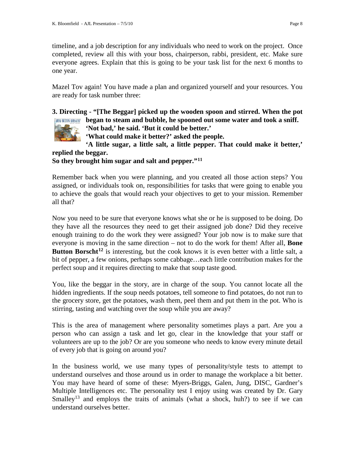timeline, and a job description for any individuals who need to work on the project. Once completed, review all this with your boss, chairperson, rabbi, president, etc. Make sure everyone agrees. Explain that this is going to be your task list for the next 6 months to one year.

Mazel Tov again! You have made a plan and organized yourself and your resources. You are ready for task number three:

**3. Directing - "[The Beggar] picked up the wooden spoon and stirred. When the pot EXECUTE SHEAD STEAM SOUTHERN STEAM STEAM STEAM STEAM STEAM STEAM STEAM STEAM STEAM STEAM STEAM STEAM STEAM STEAM STEAM STEAM STEAM STEAM STEAM STEAM STEAM STEAM STEAM STEAM STEAM STEAM STEAM STEAM STEAM STEAM STEAM STEAM** 



**'Not bad,' he said. 'But it could be better.'**

**'What could make it better?' asked the people.**

**'A little sugar, a little salt, a little pepper. That could make it better,' replied the beggar.**

**So they brought him sugar and salt and pepper."[11](#page-13-10)**

Remember back when you were planning, and you created all those action steps? You assigned, or individuals took on, responsibilities for tasks that were going to enable you to achieve the goals that would reach your objectives to get to your mission. Remember all that?

Now you need to be sure that everyone knows what she or he is supposed to be doing. Do they have all the resources they need to get their assigned job done? Did they receive enough training to do the work they were assigned? Your job now is to make sure that everyone is moving in the same direction – not to do the work for them! After all, **Bone Button Borscht<sup>[12](#page-13-11)</sup>** is interesting, but the cook knows it is even better with a little salt, a bit of pepper, a few onions, perhaps some cabbage…each little contribution makes for the perfect soup and it requires directing to make that soup taste good.

You, like the beggar in the story, are in charge of the soup. You cannot locate all the hidden ingredients. If the soup needs potatoes, tell someone to find potatoes, do not run to the grocery store, get the potatoes, wash them, peel them and put them in the pot. Who is stirring, tasting and watching over the soup while you are away?

This is the area of management where personality sometimes plays a part. Are you a person who can assign a task and let go, clear in the knowledge that your staff or volunteers are up to the job? Or are you someone who needs to know every minute detail of every job that is going on around you?

In the business world, we use many types of personality/style tests to attempt to understand ourselves and those around us in order to manage the workplace a bit better. You may have heard of some of these: Myers-Briggs, Galen, Jung, DISC, Gardner's Multiple Intelligences etc. The personality test I enjoy using was created by Dr. Gary Smalley<sup>[13](#page-13-12)</sup> and employs the traits of animals (what a shock, huh?) to see if we can understand ourselves better.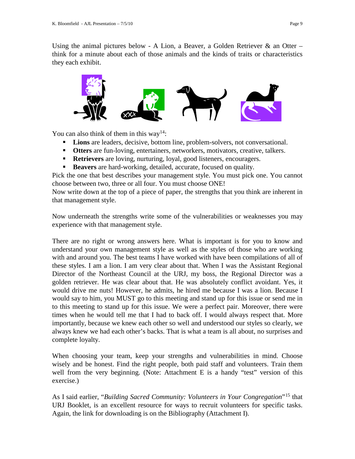Using the animal pictures below - A Lion, a Beaver, a Golden Retriever  $\&$  an Otter – think for a minute about each of those animals and the kinds of traits or characteristics they each exhibit.



You can also think of them in this way<sup>[14](#page-13-13)</sup>:

- **Lions** are leaders, decisive, bottom line, problem-solvers, not conversational.
- **Otters** are fun-loving, entertainers, networkers, motivators, creative, talkers.
- **Retrievers** are loving, nurturing, loyal, good listeners, encouragers.
- **Beavers** are hard-working, detailed, accurate, focused on quality.

Pick the one that best describes your management style. You must pick one. You cannot choose between two, three or all four. You must choose ONE!

Now write down at the top of a piece of paper, the strengths that you think are inherent in that management style.

Now underneath the strengths write some of the vulnerabilities or weaknesses you may experience with that management style.

There are no right or wrong answers here. What is important is for you to know and understand your own management style as well as the styles of those who are working with and around you. The best teams I have worked with have been compilations of all of these styles. I am a lion. I am very clear about that. When I was the Assistant Regional Director of the Northeast Council at the URJ, my boss, the Regional Director was a golden retriever. He was clear about that. He was absolutely conflict avoidant. Yes, it would drive me nuts! However, he admits, he hired me because I was a lion. Because I would say to him, you MUST go to this meeting and stand up for this issue or send me in to this meeting to stand up for this issue. We were a perfect pair. Moreover, there were times when he would tell me that I had to back off. I would always respect that. More importantly, because we knew each other so well and understood our styles so clearly, we always knew we had each other's backs. That is what a team is all about, no surprises and complete loyalty.

When choosing your team, keep your strengths and vulnerabilities in mind. Choose wisely and be honest. Find the right people, both paid staff and volunteers. Train them well from the very beginning. (Note: Attachment E is a handy "test" version of this exercise.)

As I said earlier, "*Building Sacred Community: Volunteers in Your Congregation*"[15](#page-13-14) that URJ Booklet, is an excellent resource for ways to recruit volunteers for specific tasks. Again, the link for downloading is on the Bibliography (Attachment I).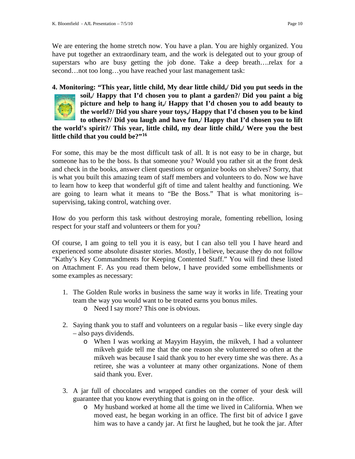We are entering the home stretch now. You have a plan. You are highly organized. You have put together an extraordinary team, and the work is delegated out to your group of superstars who are busy getting the job done. Take a deep breath….relax for a second...not too long...you have reached your last management task:

**4. Monitoring: "This year, little child, My dear little child,/ Did you put seeds in the** 



**soil,/ Happy that I'd chosen you to plant a garden?/ Did you paint a big picture and help to hang it,/ Happy that I'd chosen you to add beauty to the world?/ Did you share your toys,/ Happy that I'd chosen you to be kind to others?/ Did you laugh and have fun,/ Happy that I'd chosen you to lift** 

**the world's spirit?/ This year, little child, my dear little child,/ Were you the best little child that you could be?"[16](#page-13-15)**

For some, this may be the most difficult task of all. It is not easy to be in charge, but someone has to be the boss. Is that someone you? Would you rather sit at the front desk and check in the books, answer client questions or organize books on shelves? Sorry, that is what you built this amazing team of staff members and volunteers to do. Now we have to learn how to keep that wonderful gift of time and talent healthy and functioning. We are going to learn what it means to "Be the Boss." That is what monitoring is– supervising, taking control, watching over.

How do you perform this task without destroying morale, fomenting rebellion, losing respect for your staff and volunteers or them for you?

Of course, I am going to tell you it is easy, but I can also tell you I have heard and experienced some absolute disaster stories. Mostly, I believe, because they do not follow "Kathy's Key Commandments for Keeping Contented Staff." You will find these listed on Attachment F. As you read them below, I have provided some embellishments or some examples as necessary:

- 1. The Golden Rule works in business the same way it works in life. Treating your team the way you would want to be treated earns you bonus miles.
	- o Need I say more? This one is obvious.
- 2. Saying thank you to staff and volunteers on a regular basis like every single day – also pays dividends.
	- o When I was working at Mayyim Hayyim, the mikveh, I had a volunteer mikveh guide tell me that the one reason she volunteered so often at the mikveh was because I said thank you to her every time she was there. As a retiree, she was a volunteer at many other organizations. None of them said thank you. Ever.
- 3. A jar full of chocolates and wrapped candies on the corner of your desk will guarantee that you know everything that is going on in the office.
	- o My husband worked at home all the time we lived in California. When we moved east, he began working in an office. The first bit of advice I gave him was to have a candy jar. At first he laughed, but he took the jar. After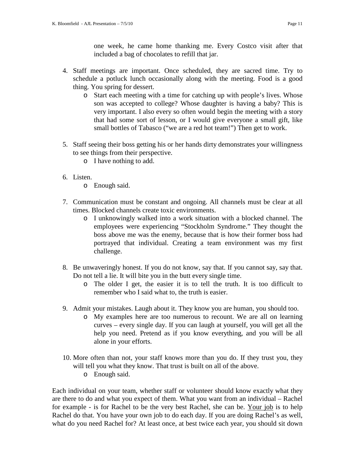- 4. Staff meetings are important. Once scheduled, they are sacred time. Try to schedule a potluck lunch occasionally along with the meeting. Food is a good thing. You spring for dessert.
	- o Start each meeting with a time for catching up with people's lives. Whose son was accepted to college? Whose daughter is having a baby? This is very important. I also every so often would begin the meeting with a story that had some sort of lesson, or I would give everyone a small gift, like small bottles of Tabasco ("we are a red hot team!") Then get to work.
- 5. Staff seeing their boss getting his or her hands dirty demonstrates your willingness to see things from their perspective.
	- o I have nothing to add.
- 6. Listen.
	- o Enough said.
- 7. Communication must be constant and ongoing. All channels must be clear at all times. Blocked channels create toxic environments.
	- o I unknowingly walked into a work situation with a blocked channel. The employees were experiencing "Stockholm Syndrome." They thought the boss above me was the enemy, because that is how their former boss had portrayed that individual. Creating a team environment was my first challenge.
- 8. Be unwaveringly honest. If you do not know, say that. If you cannot say, say that. Do not tell a lie. It will bite you in the butt every single time.
	- o The older I get, the easier it is to tell the truth. It is too difficult to remember who I said what to, the truth is easier.
- 9. Admit your mistakes. Laugh about it. They know you are human, you should too.
	- o My examples here are too numerous to recount. We are all on learning curves – every single day. If you can laugh at yourself, you will get all the help you need. Pretend as if you know everything, and you will be all alone in your efforts.
- 10. More often than not, your staff knows more than you do. If they trust you, they will tell you what they know. That trust is built on all of the above.
	- o Enough said.

Each individual on your team, whether staff or volunteer should know exactly what they are there to do and what you expect of them. What you want from an individual – Rachel for example - is for Rachel to be the very best Rachel, she can be. Your job is to help Rachel do that. You have your own job to do each day. If you are doing Rachel's as well, what do you need Rachel for? At least once, at best twice each year, you should sit down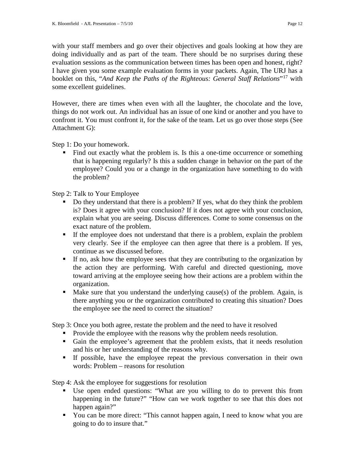with your staff members and go over their objectives and goals looking at how they are doing individually and as part of the team. There should be no surprises during these evaluation sessions as the communication between times has been open and honest, right? I have given you some example evaluation forms in your packets. Again, The URJ has a booklet on this, "*And Keep the Paths of the Righteous: General Staff Relations*"[17](#page-13-16) with some excellent guidelines.

However, there are times when even with all the laughter, the chocolate and the love, things do not work out. An individual has an issue of one kind or another and you have to confront it. You must confront it, for the sake of the team. Let us go over those steps (See Attachment G):

Step 1: Do your homework.

Find out exactly what the problem is. Is this a one-time occurrence or something that is happening regularly? Is this a sudden change in behavior on the part of the employee? Could you or a change in the organization have something to do with the problem?

Step 2: Talk to Your Employee

- Do they understand that there is a problem? If yes, what do they think the problem is? Does it agree with your conclusion? If it does not agree with your conclusion, explain what you are seeing. Discuss differences. Come to some consensus on the exact nature of the problem.
- If the employee does not understand that there is a problem, explain the problem very clearly. See if the employee can then agree that there is a problem. If yes, continue as we discussed before.
- If no, ask how the employee sees that they are contributing to the organization by the action they are performing. With careful and directed questioning, move toward arriving at the employee seeing how their actions are a problem within the organization.
- $\blacksquare$  Make sure that you understand the underlying cause(s) of the problem. Again, is there anything you or the organization contributed to creating this situation? Does the employee see the need to correct the situation?

Step 3: Once you both agree, restate the problem and the need to have it resolved

- Provide the employee with the reasons why the problem needs resolution.
- Gain the employee's agreement that the problem exists, that it needs resolution and his or her understanding of the reasons why.
- If possible, have the employee repeat the previous conversation in their own words: Problem – reasons for resolution

Step 4: Ask the employee for suggestions for resolution

- Use open ended questions: "What are you willing to do to prevent this from happening in the future?" "How can we work together to see that this does not happen again?"
- You can be more direct: "This cannot happen again, I need to know what you are going to do to insure that."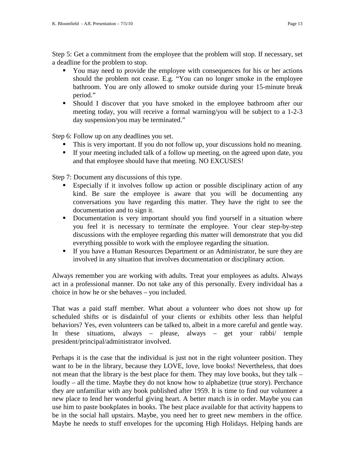Step 5: Get a commitment from the employee that the problem will stop. If necessary, set a deadline for the problem to stop.

- You may need to provide the employee with consequences for his or her actions should the problem not cease. E.g. "You can no longer smoke in the employee bathroom. You are only allowed to smoke outside during your 15-minute break period."
- Should I discover that you have smoked in the employee bathroom after our meeting today, you will receive a formal warning/you will be subject to a 1-2-3 day suspension/you may be terminated."

Step 6: Follow up on any deadlines you set.

- This is very important. If you do not follow up, your discussions hold no meaning.
- If your meeting included talk of a follow up meeting, on the agreed upon date, you and that employee should have that meeting. NO EXCUSES!

Step 7: Document any discussions of this type.

- Especially if it involves follow up action or possible disciplinary action of any kind. Be sure the employee is aware that you will be documenting any conversations you have regarding this matter. They have the right to see the documentation and to sign it.
- Documentation is very important should you find yourself in a situation where you feel it is necessary to terminate the employee. Your clear step-by-step discussions with the employee regarding this matter will demonstrate that you did everything possible to work with the employee regarding the situation.
- If you have a Human Resources Department or an Administrator, be sure they are involved in any situation that involves documentation or disciplinary action.

Always remember you are working with adults. Treat your employees as adults. Always act in a professional manner. Do not take any of this personally. Every individual has a choice in how he or she behaves – you included.

That was a paid staff member. What about a volunteer who does not show up for scheduled shifts or is disdainful of your clients or exhibits other less than helpful behaviors? Yes, even volunteers can be talked to, albeit in a more careful and gentle way. In these situations, always – please, always – get your rabbi/ temple president/principal/administrator involved.

Perhaps it is the case that the individual is just not in the right volunteer position. They want to be in the library, because they LOVE, love, love books! Nevertheless, that does not mean that the library is the best place for them. They may love books, but they talk – loudly – all the time. Maybe they do not know how to alphabetize (true story). Perchance they are unfamiliar with any book published after 1959. It is time to find our volunteer a new place to lend her wonderful giving heart. A better match is in order. Maybe you can use him to paste bookplates in books. The best place available for that activity happens to be in the social hall upstairs. Maybe, you need her to greet new members in the office. Maybe he needs to stuff envelopes for the upcoming High Holidays. Helping hands are